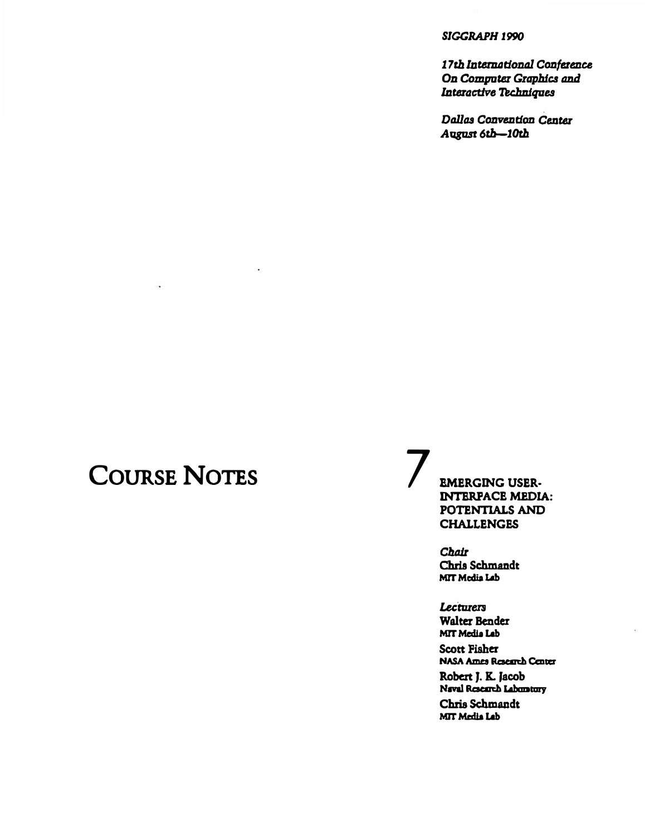#### *SIGGRAPH 1990*

17th International Conference **On Computer Graphics and** *Interactive Techniques* 

*Dallas Convention Center August 6rb-10tb* 

# **COURSE NOTES**

 $\ddot{\phantom{1}}$ 

**EMERGING USER-INTERPACE MEDIA: POTENTIALS AND CHALLENGES** 

**Chris Schmandt**  *Chair*  **MrTMcdiaLob** 

**Lecturers Walter Bender MrTMediaLob Scott Fisher**  NASA Ames Reaeudl Center **Robert J. K. Jacob**  Naval Research Lahomtory **Chris Schmandt MrT Media Lob**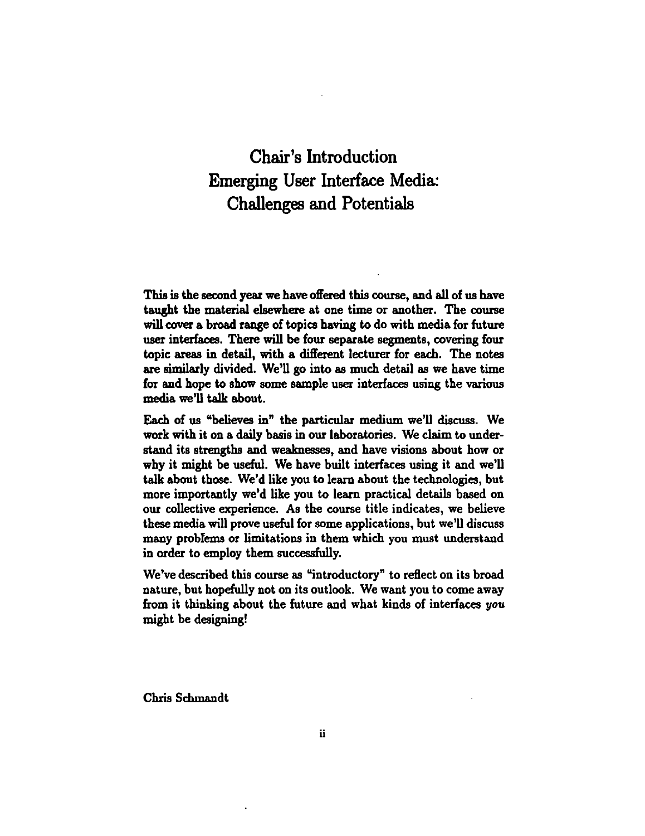### Chair's Introduction Emerging User Interface Media: Challenges and Potentials

This is the second year we have offered this course, and all of us have taught the material elsewhere at one time or another. The course will cover a broad range of topics having to do with media for future user interfaces. There will be four separate segments, covering four topic areas in detail, with a different lecturer for each. The notes are similarly divided. We'll go into as much detail as we have time for and hope to show some sample user interfaces using the various media we'll talk about.

Each of us "believes in" the particular medium we'll discuss. We work with it on a daily basis in our laboratories. We claim to understand its strengths and weaknesses, and have visions about how or why it might be useful. We have built interfaces using it and we'll talk about those. We'd like you to learn about the technologies, but more importantly we'd like you to learn practical details based on our collective experience. As the course title indicates, we believe these media will prove useful for some applications, but we'll discuss many probfems or limitations in them which you must understand in order to employ them successfully.

We've described this course as "introductory" to reflect on its broad nature, but hopefully not on its outlook. We want you to come away from it thinking about the future and what kinds of interfaces you might be designing!

Chris Schwandt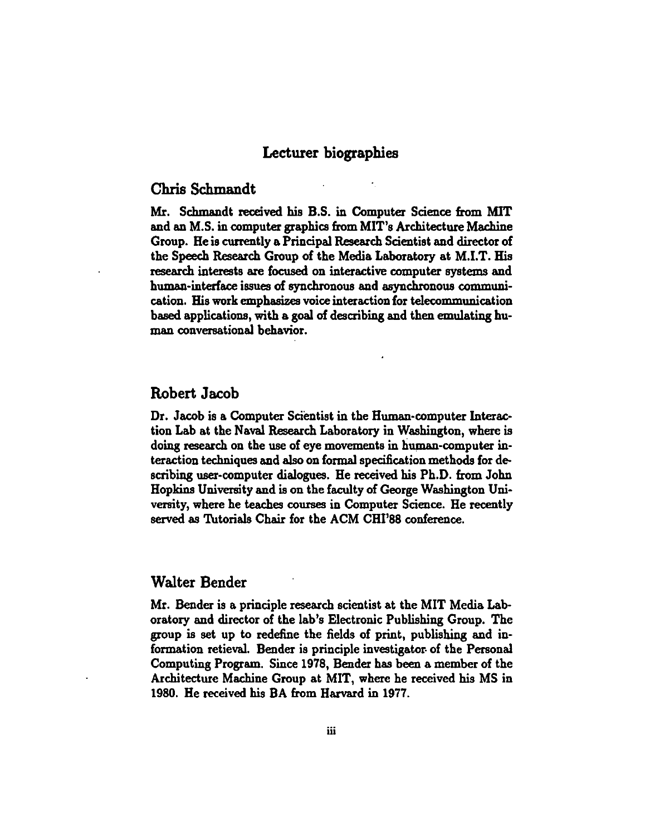### Lecturer biographies

#### Chris Schmandt

Mr. Scbmandt received his B.S. in Computer Science from MIT and an M.S. in computer graphics from MIT's Architecture Machine Group. He is currently a Principal Research Scientist and director of the Speech Research Group of the Media Laboratory at M.I.T. His research interests are focused on interactive computer systems and human-interface issues of synchronous and asynchronous communication. His work emphasizes voice interaction for telecommunication based applications, with a goal of describing and then emulating human conversational behavior.

#### Robert Jacob

Dr. Jacob is a Computer Scientist in the Human-computer Interaction Lab at the Naval Research Laboratory in Washington, where is doing research on the use of eye movements in human-computer interaction techniques and also on formal specification methods for describing user-computer dialogues. He received his Ph.D. from John Hopkins University and is on the faculty of George Washington University, where he teaches courses in Computer Science. He recently served as Tutorials Chair for the ACM CHI'88 conference.

#### Walter Bender

Mr. Bender is a principle research scientist at the MIT Media Laboratory and director of the lab's Electronic Publishing Group. The group is set up to redefine the fields of print, publishing and information retieval. Bender is principle investigator of the Personal Computing Program. Since 1978, Bender has been a member of the Architecture Machine Group at MIT, where he received his MS in 1980. He received his BA from Harvard in 1977.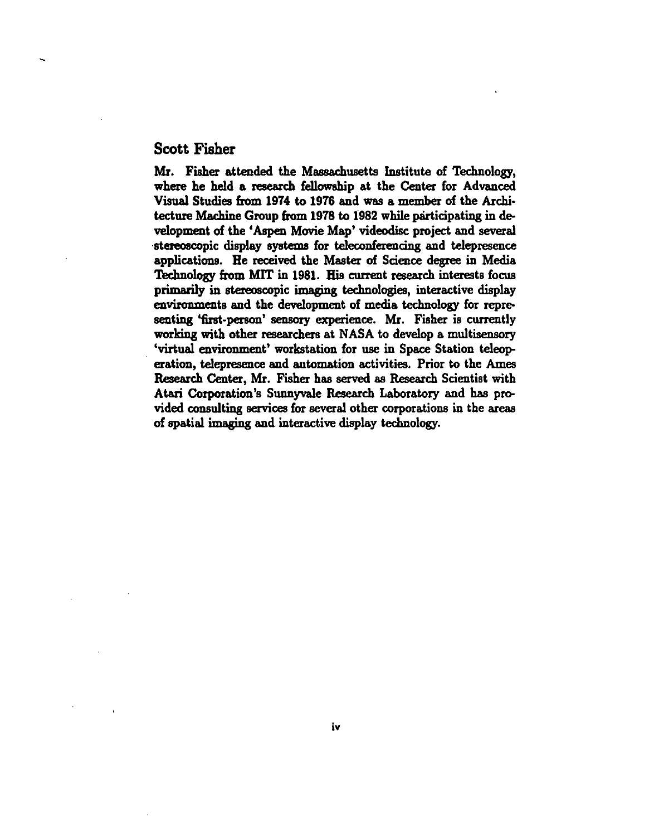#### Scott Fisher

Mr. Fisher attended the Massachusetts Institute of Technology, where he held a research fellowship at the Center for Advanced Visual Studies from 1974 to 1976 and was a member of the Architecture Machine Group from 1978 to 1982 while participating in development of the 'Aspen Movie Map' videodisc project and several stereoscopic display systems for teleconferencing and telepresence applications. Be received the Master of Science degree in Media Technology from MIT in 1981. His current research interests focus primarily in stereoscopic imaging technologies, interactive display enviromnents and the development of media technology for representing 'first-person' sensory experience. Mr. Fisher is currently working with other researchers at NASA to develop a multisensory 'virtual enviromnent' workstation for use in Space Station teleoperation, telepresence and automation activities. Prior to the Ames Research Center, Mr. Fisher has served as Research Scientist with Atari Corporation's Sunnyvale Research Laboratory and has provided consulting services for several other corporations in the areas of spatial imaging and interactive display technology.